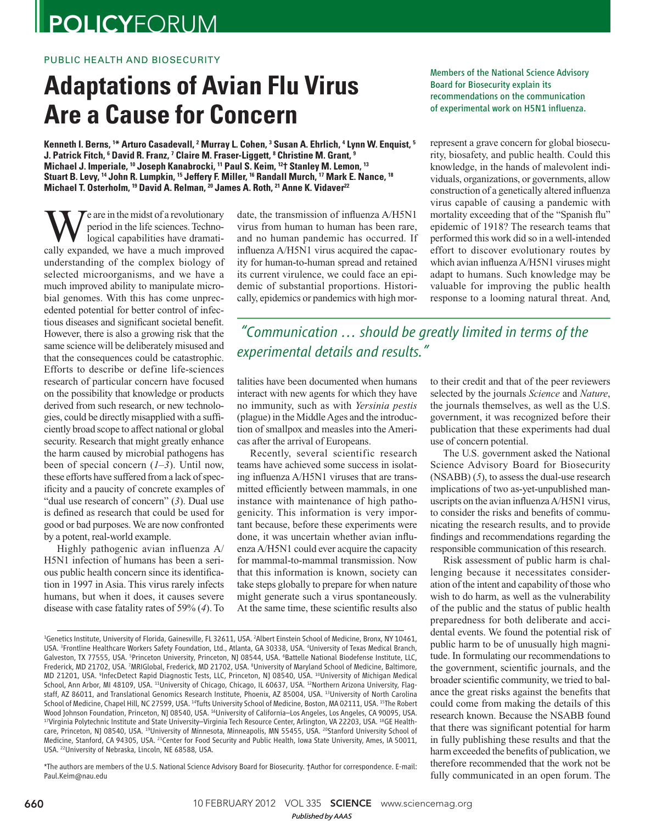## **POLICYFORUM**

#### PUBLIC HEALTH AND BIOSECURITY

# **Adaptations of Avian Flu Virus Are a Cause for Concern**

**Kenneth I. Berns, <sup>1</sup>\* Arturo Casadevall, <sup>2</sup> Murray L. Cohen, <sup>3</sup> Susan A. Ehrlich, <sup>4</sup> Lynn W. Enquist, <sup>5</sup> J**. Patrick Fitch,  $^6$  David R. Franz, <sup>7</sup> Claire M. Fraser-Liggett,  $^8$  Christine M. Grant,  $^9$ **Michael J. Imperiale, <sup>10</sup> Joseph Kanabrocki, <sup>11</sup> Paul S. Keim, <sup>12</sup>† Stanley M. Lemon, <sup>13</sup> Stuart B. Levy, <sup>14</sup> John R. Lumpkin, <sup>15</sup> Jeffery F. Miller, <sup>16</sup> Randall Murch, <sup>17</sup> Mark E. Nance, <sup>18</sup> Michael T. Osterholm, <sup>19</sup> David A. Relman, <sup>20</sup> James A. Roth, <sup>21</sup> Anne K. Vidaver <sup>22</sup>** 

W eare in the midst of a revolutionary<br>logical capabilities have dramati-<br>cally expanded, we have a much improved period in the life sciences. Technological capabilities have dramatiunderstanding of the complex biology of selected microorganisms, and we have a much improved ability to manipulate microbial genomes. With this has come unprecedented potential for better control of infectious diseases and significant societal benefit. However, there is also a growing risk that the same science will be deliberately misused and that the consequences could be catastrophic. Efforts to describe or define life-sciences research of particular concern have focused on the possibility that knowledge or products derived from such research, or new technologies, could be directly misapplied with a sufficiently broad scope to affect national or global security. Research that might greatly enhance the harm caused by microbial pathogens has been of special concern  $(1-3)$ . Until now, these efforts have suffered from a lack of specificity and a paucity of concrete examples of "dual use research of concern" (3). Dual use is defined as research that could be used for good or bad purposes. We are now confronted by a potent, real-world example.

Highly pathogenic avian influenza A/ H5N1 infection of humans has been a serious public health concern since its identification in 1997 in Asia. This virus rarely infects humans, but when it does, it causes severe disease with case fatality rates of 59% ( *4*). To date, the transmission of influenza A/H5N1 virus from human to human has been rare, and no human pandemic has occurred. If influenza A/H5N1 virus acquired the capacity for human-to-human spread and retained its current virulence, we could face an epidemic of substantial proportions. Historically, epidemics or pandemics with high mor-

#### Members of the National Science Advisory Board for Biosecurity explain its recommendations on the communication of experimental work on H5N1 influenza.

represent a grave concern for global biosecurity, biosafety, and public health. Could this knowledge, in the hands of malevolent individuals, organizations, or governments, allow construction of a genetically altered influenza virus capable of causing a pandemic with mortality exceeding that of the "Spanish flu" epidemic of 1918? The research teams that performed this work did so in a well-intended effort to discover evolutionary routes by which avian influenza A/H5N1 viruses might adapt to humans. Such knowledge may be valuable for improving the public health response to a looming natural threat. And,

### *"Communication … should be greatly limited in terms of the experimental details and results."*

talities have been documented when humans interact with new agents for which they have no immunity, such as with *Yersinia pestis* (plague) in the Middle Ages and the introduction of smallpox and measles into the Americas after the arrival of Europeans.

Recently, several scientific research teams have achieved some success in isolating influenza A/H5N1 viruses that are transmitted efficiently between mammals, in one instance with maintenance of high pathogenicity. This information is very important because, before these experiments were done, it was uncertain whether avian influenza A/H5N1 could ever acquire the capacity for mammal-to-mammal transmission. Now that this information is known, society can take steps globally to prepare for when nature might generate such a virus spontaneously. At the same time, these scientific results also

\*The authors are members of the U.S. National Science Advisory Board for Biosecurity. †Author for correspondence. E-mail: Paul.Keim@nau.edu

to their credit and that of the peer reviewers selected by the journals *Science* and *Nature*, the journals themselves, as well as the U.S. government, it was recognized before their publication that these experiments had dual use of concern potential.

The U.S. government asked the National Science Advisory Board for Biosecurity  $(NSABB)$   $(5)$ , to assess the dual-use research implications of two as-yet-unpublished manuscripts on the avian influenza A/H5N1 virus, to consider the risks and benefits of communicating the research results, and to provide findings and recommendations regarding the responsible communication of this research.

Risk assessment of public harm is challenging because it necessitates consideration of the intent and capability of those who wish to do harm, as well as the vulnerability of the public and the status of public health preparedness for both deliberate and accidental events. We found the potential risk of public harm to be of unusually high magnitude. In formulating our recommendations to the government, scientific journals, and the broader scientific community, we tried to balance the great risks against the benefits that could come from making the details of this research known. Because the NSABB found that there was significant potential for harm in fully publishing these results and that the harm exceeded the benefits of publication, we therefore recommended that the work not be fully communicated in an open forum. The

660 10 FEBRUARY 2012 VOL 335 SCIENCE www.sciencemag.org *Published byAAAS*

<sup>1</sup>Genetics Institute, University of Florida, Gainesville, FL 32611, USA. <sup>2</sup>Albert Einstein School of Medicine, Bronx, NY 10461, USA. <sup>3</sup> Frontline Healthcare Workers Safety Foundation, Ltd., Atlanta, GA 30338, USA. <sup>4</sup>University of Texas Medical Branch, Galveston, TX 77555, USA. <sup>5</sup>Princeton University, Princeton, NJ 08544, USA. <sup>6</sup>Battelle National Biodefense Institute, LLC, Frederick, MD 21702, USA. <sup>7</sup>MRIGlobal, Frederick, MD 21702, USA. <sup>8</sup>University of Maryland School of Medicine, Baltimore, MD 21201, USA. <sup>9</sup>InfecDetect Rapid Diagnostic Tests, LLC, Princeton, NJ 08540, USA. <sup>10</sup>University of Michigan Medical School, Ann Arbor, MI 48109, USA. <sup>11</sup>University of Chicago, Chicago, IL 60637, USA. <sup>12</sup>Northern Arizona University, Flagstaff, AZ 86011, and Translational Genomics Research Institute, Phoenix, AZ 85004, USA. <sup>13</sup>University of North Carolina School of Medicine, Chapel Hill, NC 27599, USA. <sup>14</sup>Tufts University School of Medicine, Boston, MA 02111, USA. <sup>15</sup>The Robert Wood Johnson Foundation, Princeton, NJ 08540, USA. <sup>16</sup>University of California-Los Angeles, Los Angeles, CA 90095, USA. 17Virginia Polytechnic Institute and State University–Virginia Tech Resource Center, Arlington, VA 22203, USA. 18GE Healthcare, Princeton, NJ 08540, USA. <sup>19</sup>University of Minnesota, Minneapolis, MN 55455, USA. <sup>20</sup>Stanford University School of Medicine, Stanford, CA 94305, USA. <sup>21</sup>Center for Food Security and Public Health, Iowa State University, Ames, IA 50011, USA. <sup>22</sup>University of Nebraska, Lincoln, NE 68588, USA.